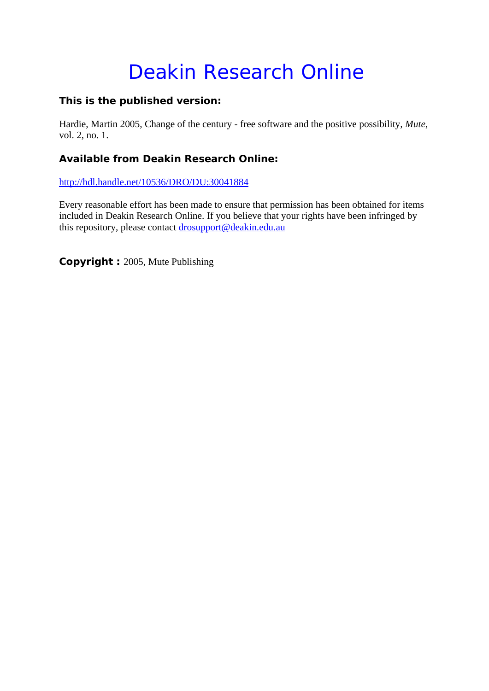## Deakin Research Online

### **This is the published version:**

Hardie, Martin 2005, Change of the century - free software and the positive possibility*, Mute*, vol. 2, no. 1.

#### **Available from Deakin Research Online:**

http://hdl.handle.net/10536/DRO/DU:30041884

Every reasonable effort has been made to ensure that permission has been obtained for items included in Deakin Research Online. If you believe that your rights have been infringed by this repository, please contact drosupport@deakin.edu.au

**Copyright :** 2005, Mute Publishing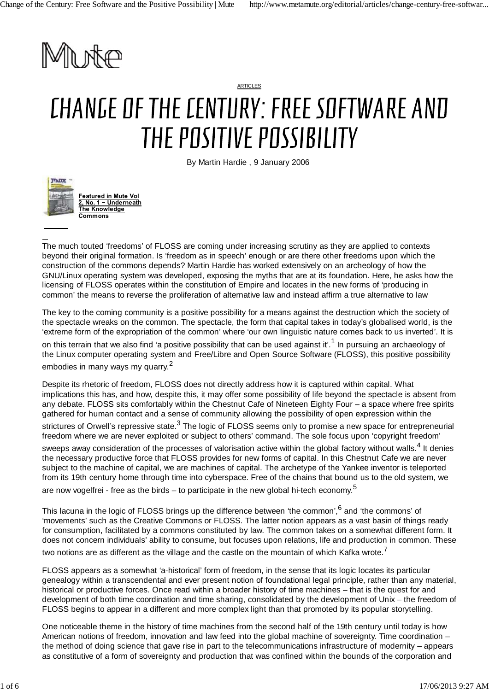

ARTICLES

# CHANGE OF THE CENTURY: FREE SOFTWARE AND THE POSITIVE POSSIBILITY

By Martin Hardie , 9 January 2006



**Featured in Mute Vol 2, No. 1 − Underneath The Knowledge Commons**

The much touted 'freedoms' of FLOSS are coming under increasing scrutiny as they are applied to contexts beyond their original formation. Is 'freedom as in speech' enough or are there other freedoms upon which the construction of the commons depends? Martin Hardie has worked extensively on an archeology of how the GNU/Linux operating system was developed, exposing the myths that are at its foundation. Here, he asks how the licensing of FLOSS operates within the constitution of Empire and locates in the new forms of 'producing in common' the means to reverse the proliferation of alternative law and instead affirm a true alternative to law

The key to the coming community is a positive possibility for a means against the destruction which the society of the spectacle wreaks on the common. The spectacle, the form that capital takes in today's globalised world, is the 'extreme form of the expropriation of the common' where 'our own linguistic nature comes back to us inverted'. It is

on this terrain that we also find 'a positive possibility that can be used against it'.<sup>1</sup> In pursuing an archaeology of the Linux computer operating system and Free/Libre and Open Source Software (FLOSS), this positive possibility embodies in many ways my quarry.<sup>2</sup>

Despite its rhetoric of freedom, FLOSS does not directly address how it is captured within capital. What implications this has, and how, despite this, it may offer some possibility of life beyond the spectacle is absent from any debate. FLOSS sits comfortably within the Chestnut Cafe of Nineteen Eighty Four – a space where free spirits gathered for human contact and a sense of community allowing the possibility of open expression within the

strictures of Orwell's repressive state.<sup>3</sup> The logic of FLOSS seems only to promise a new space for entrepreneurial freedom where we are never exploited or subject to others' command. The sole focus upon 'copyright freedom'

sweeps away consideration of the processes of valorisation active within the global factory without walls.<sup>4</sup> It denies the necessary productive force that FLOSS provides for new forms of capital. In this Chestnut Cafe we are never subject to the machine of capital, we are machines of capital. The archetype of the Yankee inventor is teleported from its 19th century home through time into cyberspace. Free of the chains that bound us to the old system, we

are now vogelfrei - free as the birds – to participate in the new global hi-tech economy.<sup>5</sup>

This lacuna in the logic of FLOSS brings up the difference between 'the common', <sup>6</sup> and 'the commons' of 'movements' such as the Creative Commons or FLOSS. The latter notion appears as a vast basin of things ready for consumption, facilitated by a commons constituted by law. The common takes on a somewhat different form. It does not concern individuals' ability to consume, but focuses upon relations, life and production in common. These

two notions are as different as the village and the castle on the mountain of which Kafka wrote.<sup>7</sup>

FLOSS appears as a somewhat 'a-historical' form of freedom, in the sense that its logic locates its particular genealogy within a transcendental and ever present notion of foundational legal principle, rather than any material, historical or productive forces. Once read within a broader history of time machines – that is the quest for and development of both time coordination and time sharing, consolidated by the development of Unix – the freedom of FLOSS begins to appear in a different and more complex light than that promoted by its popular storytelling.

One noticeable theme in the history of time machines from the second half of the 19th century until today is how American notions of freedom, innovation and law feed into the global machine of sovereignty. Time coordination – the method of doing science that gave rise in part to the telecommunications infrastructure of modernity – appears as constitutive of a form of sovereignty and production that was confined within the bounds of the corporation and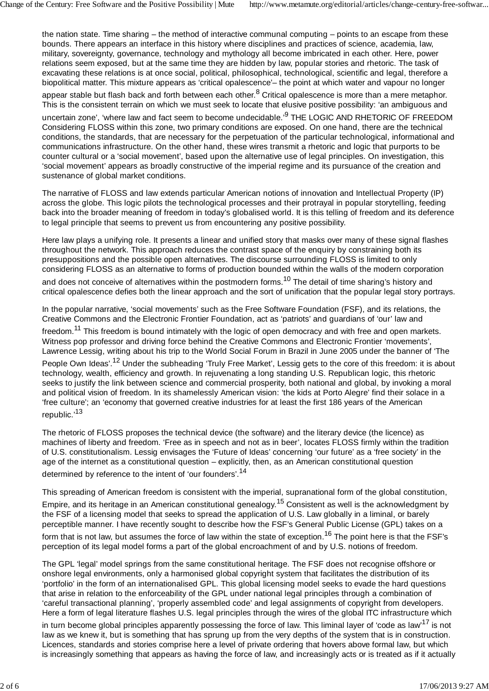the nation state. Time sharing – the method of interactive communal computing – points to an escape from these bounds. There appears an interface in this history where disciplines and practices of science, academia, law, military, sovereignty, governance, technology and mythology all become imbricated in each other. Here, power relations seem exposed, but at the same time they are hidden by law, popular stories and rhetoric. The task of excavating these relations is at once social, political, philosophical, technological, scientific and legal, therefore a biopolitical matter. This mixture appears as 'critical opalescence'– the point at which water and vapour no longer

appear stable but flash back and forth between each other.<sup>8</sup> Critical opalescence is more than a mere metaphor. This is the consistent terrain on which we must seek to locate that elusive positive possibility: 'an ambiguous and

uncertain zone', 'where law and fact seem to become undecidable.'<sup>9</sup> THE LOGIC AND RHETORIC OF FREEDOM Considering FLOSS within this zone, two primary conditions are exposed. On one hand, there are the technical conditions, the standards, that are necessary for the perpetuation of the particular technological, informational and communications infrastructure. On the other hand, these wires transmit a rhetoric and logic that purports to be counter cultural or a 'social movement', based upon the alternative use of legal principles. On investigation, this 'social movement' appears as broadly constructive of the imperial regime and its pursuance of the creation and sustenance of global market conditions.

The narrative of FLOSS and law extends particular American notions of innovation and Intellectual Property (IP) across the globe. This logic pilots the technological processes and their protrayal in popular storytelling, feeding back into the broader meaning of freedom in today's globalised world. It is this telling of freedom and its deference to legal principle that seems to prevent us from encountering any positive possibility.

Here law plays a unifying role. It presents a linear and unified story that masks over many of these signal flashes throughout the network. This approach reduces the contrast space of the enquiry by constraining both its presuppositions and the possible open alternatives. The discourse surrounding FLOSS is limited to only considering FLOSS as an alternative to forms of production bounded within the walls of the modern corporation

and does not conceive of alternatives within the postmodern forms.<sup>10</sup> The detail of time sharing's history and critical opalescence defies both the linear approach and the sort of unification that the popular legal story portrays.

In the popular narrative, 'social movements' such as the Free Software Foundation (FSF), and its relations, the Creative Commons and the Electronic Frontier Foundation, act as 'patriots' and guardians of 'our' law and

freedom.<sup>11</sup> This freedom is bound intimately with the logic of open democracy and with free and open markets. Witness pop professor and driving force behind the Creative Commons and Electronic Frontier 'movements', Lawrence Lessig, writing about his trip to the World Social Forum in Brazil in June 2005 under the banner of 'The

People Own Ideas'.<sup>12</sup> Under the subheading 'Truly Free Market', Lessig gets to the core of this freedom: it is about technology, wealth, efficiency and growth. In rejuvenating a long standing U.S. Republican logic, this rhetoric seeks to justify the link between science and commercial prosperity, both national and global, by invoking a moral and political vision of freedom. In its shamelessly American vision: 'the kids at Porto Alegre' find their solace in a 'free culture'; an 'economy that governed creative industries for at least the first 186 years of the American republic.'<sup>13</sup>

The rhetoric of FLOSS proposes the technical device (the software) and the literary device (the licence) as machines of liberty and freedom. 'Free as in speech and not as in beer', locates FLOSS firmly within the tradition of U.S. constitutionalism. Lessig envisages the 'Future of Ideas' concerning 'our future' as a 'free society' in the age of the internet as a constitutional question – explicitly, then, as an American constitutional question determined by reference to the intent of 'our founders'.<sup>14</sup>

This spreading of American freedom is consistent with the imperial, supranational form of the global constitution,

Empire, and its heritage in an American constitutional genealogy.<sup>15</sup> Consistent as well is the acknowledgment by the FSF of a licensing model that seeks to spread the application of U.S. Law globally in a liminal, or barely perceptible manner. I have recently sought to describe how the FSF's General Public License (GPL) takes on a

form that is not law, but assumes the force of law within the state of exception.<sup>16</sup> The point here is that the FSF's perception of its legal model forms a part of the global encroachment of and by U.S. notions of freedom.

The GPL 'legal' model springs from the same constitutional heritage. The FSF does not recognise offshore or onshore legal environments, only a harmonised global copyright system that facilitates the distribution of its 'portfolio' in the form of an internationalised GPL. This global licensing model seeks to evade the hard questions that arise in relation to the enforceability of the GPL under national legal principles through a combination of 'careful transactional planning', 'properly assembled code' and legal assignments of copyright from developers. Here a form of legal literature flashes U.S. legal principles through the wires of the global ITC infrastructure which

in turn become global principles apparently possessing the force of law. This liminal layer of 'code as law'<sup>17</sup> is not law as we knew it, but is something that has sprung up from the very depths of the system that is in construction. Licences, standards and stories comprise here a level of private ordering that hovers above formal law, but which is increasingly something that appears as having the force of law, and increasingly acts or is treated as if it actually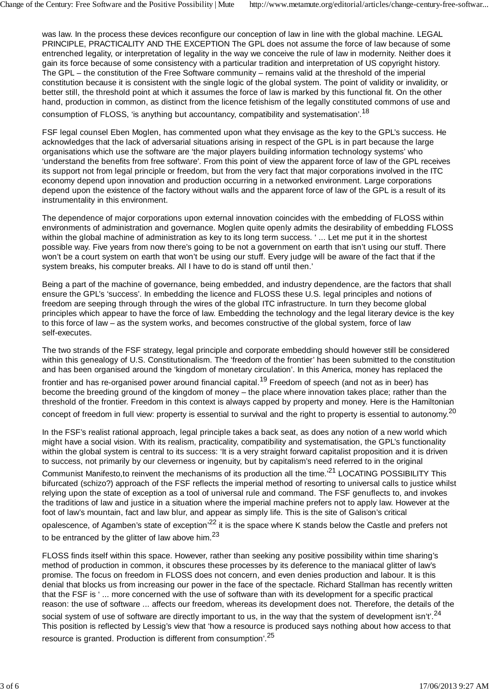was law. In the process these devices reconfigure our conception of law in line with the global machine. LEGAL PRINCIPLE, PRACTICALITY AND THE EXCEPTION The GPL does not assume the force of law because of some entrenched legality, or interpretation of legality in the way we conceive the rule of law in modernity. Neither does it gain its force because of some consistency with a particular tradition and interpretation of US copyright history. The GPL – the constitution of the Free Software community – remains valid at the threshold of the imperial constitution because it is consistent with the single logic of the global system. The point of validity or invalidity, or better still, the threshold point at which it assumes the force of law is marked by this functional fit. On the other hand, production in common, as distinct from the licence fetishism of the legally constituted commons of use and

consumption of FLOSS, 'is anything but accountancy, compatibility and systematisation'.<sup>18</sup>

FSF legal counsel Eben Moglen, has commented upon what they envisage as the key to the GPL's success. He acknowledges that the lack of adversarial situations arising in respect of the GPL is in part because the large organisations which use the software are 'the major players building information technology systems' who 'understand the benefits from free software'. From this point of view the apparent force of law of the GPL receives its support not from legal principle or freedom, but from the very fact that major corporations involved in the ITC economy depend upon innovation and production occurring in a networked environment. Large corporations depend upon the existence of the factory without walls and the apparent force of law of the GPL is a result of its instrumentality in this environment.

The dependence of major corporations upon external innovation coincides with the embedding of FLOSS within environments of administration and governance. Moglen quite openly admits the desirability of embedding FLOSS within the global machine of administration as key to its long term success. ' ... Let me put it in the shortest possible way. Five years from now there's going to be not a government on earth that isn't using our stuff. There won't be a court system on earth that won't be using our stuff. Every judge will be aware of the fact that if the system breaks, his computer breaks. All I have to do is stand off until then.'

Being a part of the machine of governance, being embedded, and industry dependence, are the factors that shall ensure the GPL's 'success'. In embedding the licence and FLOSS these U.S. legal principles and notions of freedom are seeping through through the wires of the global ITC infrastructure. In turn they become global principles which appear to have the force of law. Embedding the technology and the legal literary device is the key to this force of law – as the system works, and becomes constructive of the global system, force of law self-executes.

The two strands of the FSF strategy, legal principle and corporate embedding should however still be considered within this genealogy of U.S. Constitutionalism. The 'freedom of the frontier' has been submitted to the constitution and has been organised around the 'kingdom of monetary circulation'. In this America, money has replaced the frontier and has re-organised power around financial capital.<sup>19</sup> Freedom of speech (and not as in beer) has become the breeding ground of the kingdom of money – the place where innovation takes place; rather than the threshold of the frontier. Freedom in this context is always capped by property and money. Here is the Hamiltonian concept of freedom in full view: property is essential to survival and the right to property is essential to autonomy.<sup>20</sup>

In the FSF's realist rational approach, legal principle takes a back seat, as does any notion of a new world which might have a social vision. With its realism, practicality, compatibility and systematisation, the GPL's functionality within the global system is central to its success: 'It is a very straight forward capitalist proposition and it is driven to success, not primarily by our cleverness or ingenuity, but by capitalism's need referred to in the original

Communist Manifesto,to reinvent the mechanisms of its production all the time.<sup>21</sup> LOCATING POSSIBILITY This bifurcated (schizo?) approach of the FSF reflects the imperial method of resorting to universal calls to justice whilst relying upon the state of exception as a tool of universal rule and command. The FSF genuflects to, and invokes the traditions of law and justice in a situation where the imperial machine prefers not to apply law. However at the foot of law's mountain, fact and law blur, and appear as simply life. This is the site of Galison's critical

opalescence, of Agamben's state of exception<sup>'22</sup> it is the space where K stands below the Castle and prefers not to be entranced by the glitter of law above him. $^{23}$ 

FLOSS finds itself within this space. However, rather than seeking any positive possibility within time sharing's method of production in common, it obscures these processes by its deference to the maniacal glitter of law's promise. The focus on freedom in FLOSS does not concern, and even denies production and labour. It is this denial that blocks us from increasing our power in the face of the spectacle. Richard Stallman has recently written that the FSF is ' ... more concerned with the use of software than with its development for a specific practical reason: the use of software ... affects our freedom, whereas its development does not. Therefore, the details of the

social system of use of software are directly important to us, in the way that the system of development isn't'.<sup>24</sup> This position is reflected by Lessig's view that 'how a resource is produced says nothing about how access to that resource is granted. Production is different from consumption'.<sup>25</sup>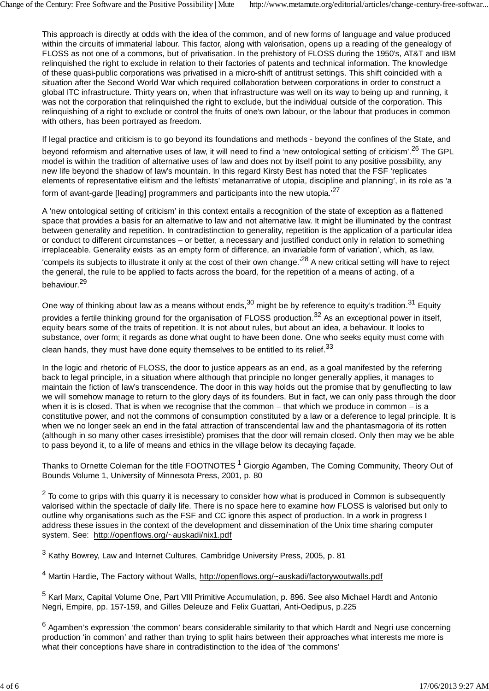This approach is directly at odds with the idea of the common, and of new forms of language and value produced within the circuits of immaterial labour. This factor, along with valorisation, opens up a reading of the genealogy of FLOSS as not one of a commons, but of privatisation. In the prehistory of FLOSS during the 1950's, AT&T and IBM relinquished the right to exclude in relation to their factories of patents and technical information. The knowledge of these quasi-public corporations was privatised in a micro-shift of antitrust settings. This shift coincided with a situation after the Second World War which required collaboration between corporations in order to construct a global ITC infrastructure. Thirty years on, when that infrastructure was well on its way to being up and running, it was not the corporation that relinquished the right to exclude, but the individual outside of the corporation. This relinquishing of a right to exclude or control the fruits of one's own labour, or the labour that produces in common with others, has been portrayed as freedom.

If legal practice and criticism is to go beyond its foundations and methods - beyond the confines of the State, and beyond reformism and alternative uses of law, it will need to find a 'new ontological setting of criticism'.<sup>26</sup> The GPL model is within the tradition of alternative uses of law and does not by itself point to any positive possibility, any new life beyond the shadow of law's mountain. In this regard Kirsty Best has noted that the FSF 'replicates elements of representative elitism and the leftists' metanarrative of utopia, discipline and planning', in its role as 'a

form of avant-garde [leading] programmers and participants into the new utopia.<sup>'27</sup>

A 'new ontological setting of criticism' in this context entails a recognition of the state of exception as a flattened space that provides a basis for an alternative to law and not alternative law. It might be illuminated by the contrast between generality and repetition. In contradistinction to generality, repetition is the application of a particular idea or conduct to different circumstances – or better, a necessary and justified conduct only in relation to something irreplaceable. Generality exists 'as an empty form of difference, an invariable form of variation', which, as law,

'compels its subjects to illustrate it only at the cost of their own change.'28 A new critical setting will have to reject the general, the rule to be applied to facts across the board, for the repetition of a means of acting, of a behaviour.<sup>29</sup>

One way of thinking about law as a means without ends,  $30$  might be by reference to equity's tradition.  $31$  Equity provides a fertile thinking ground for the organisation of FLOSS production.<sup>32</sup> As an exceptional power in itself, equity bears some of the traits of repetition. It is not about rules, but about an idea, a behaviour. It looks to substance, over form; it regards as done what ought to have been done. One who seeks equity must come with clean hands, they must have done equity themselves to be entitled to its relief.  $33$ 

In the logic and rhetoric of FLOSS, the door to justice appears as an end, as a goal manifested by the referring back to legal principle, in a situation where although that principle no longer generally applies, it manages to maintain the fiction of law's transcendence. The door in this way holds out the promise that by genuflecting to law we will somehow manage to return to the glory days of its founders. But in fact, we can only pass through the door when it is is closed. That is when we recognise that the common – that which we produce in common – is a constitutive power, and not the commons of consumption constituted by a law or a deference to legal principle. It is when we no longer seek an end in the fatal attraction of transcendental law and the phantasmagoria of its rotten (although in so many other cases irresistible) promises that the door will remain closed. Only then may we be able to pass beyond it, to a life of means and ethics in the village below its decaying façade.

Thanks to Ornette Coleman for the title FOOTNOTES<sup>1</sup> Giorgio Agamben, The Coming Community, Theory Out of Bounds Volume 1, University of Minnesota Press, 2001, p. 80

 $2$  To come to grips with this quarry it is necessary to consider how what is produced in Common is subsequently valorised within the spectacle of daily life. There is no space here to examine how FLOSS is valorised but only to outline why organisations such as the FSF and CC ignore this aspect of production. In a work in progress I address these issues in the context of the development and dissemination of the Unix time sharing computer system. See: http://openflows.org/~auskadi/nix1.pdf

 $3$  Kathy Bowrey, Law and Internet Cultures, Cambridge University Press, 2005, p. 81

4 Martin Hardie, The Factory without Walls, http://openflows.org/~auskadi/factorywoutwalls.pdf

5 Karl Marx, Capital Volume One, Part VIII Primitive Accumulation, p. 896. See also Michael Hardt and Antonio Negri, Empire, pp. 157-159, and Gilles Deleuze and Felix Guattari, Anti-Oedipus, p.225

<sup>6</sup> Agamben's expression 'the common' bears considerable similarity to that which Hardt and Negri use concerning production 'in common' and rather than trying to split hairs between their approaches what interests me more is what their conceptions have share in contradistinction to the idea of 'the commons'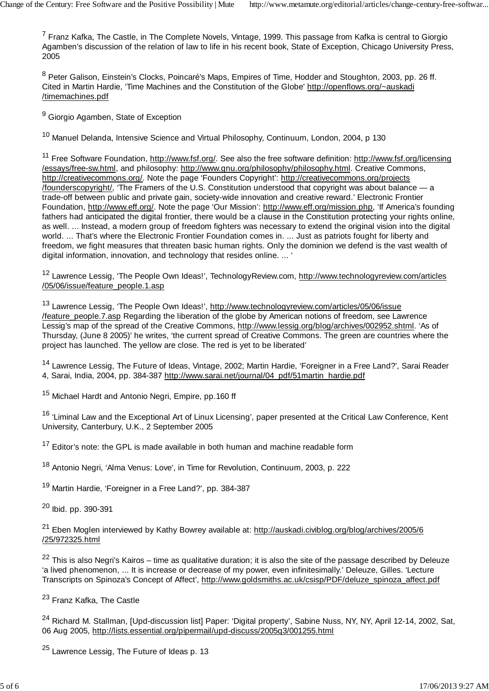$7$  Franz Kafka, The Castle, in The Complete Novels, Vintage, 1999. This passage from Kafka is central to Giorgio Agamben's discussion of the relation of law to life in his recent book, State of Exception, Chicago University Press, 2005

<sup>8</sup> Peter Galison, Einstein's Clocks, Poincaré's Maps, Empires of Time, Hodder and Stoughton, 2003, pp. 26 ff. Cited in Martin Hardie, 'Time Machines and the Constitution of the Globe' http://openflows.org/~auskadi /timemachines.pdf

<sup>9</sup> Giorgio Agamben, State of Exception

10 Manuel Delanda, Intensive Science and Virtual Philosophy, Continuum, London, 2004, p 130

<sup>11</sup> Free Software Foundation, http://www.fsf.org/. See also the free software definition: http://www.fsf.org/licensing /essays/free-sw.html, and philosophy: http://www.gnu.org/philosophy/philosophy.html. Creative Commons, http://creativecommons.org/. Note the page 'Founders Copyright': http://creativecommons.org/projects /founderscopyright/, 'The Framers of the U.S. Constitution understood that copyright was about balance — a trade-off between public and private gain, society-wide innovation and creative reward.' Electronic Frontier Foundation, http://www.eff.org/. Note the page 'Our Mission': http://www.eff.org/mission.php, 'If America's founding fathers had anticipated the digital frontier, there would be a clause in the Constitution protecting your rights online, as well. ... Instead, a modern group of freedom fighters was necessary to extend the original vision into the digital world. ... That's where the Electronic Frontier Foundation comes in. ... Just as patriots fought for liberty and freedom, we fight measures that threaten basic human rights. Only the dominion we defend is the vast wealth of digital information, innovation, and technology that resides online. ... '

12 Lawrence Lessig, 'The People Own Ideas!', TechnologyReview.com, http://www.technologyreview.com/articles /05/06/issue/feature\_people.1.asp

<sup>13</sup> Lawrence Lessig, 'The People Own Ideas!', http://www.technologyreview.com/articles/05/06/issue /feature\_people.7.asp Regarding the liberation of the globe by American notions of freedom, see Lawrence Lessig's map of the spread of the Creative Commons, http://www.lessig.org/blog/archives/002952.shtml. 'As of Thursday, (June 8 2005)' he writes, 'the current spread of Creative Commons. The green are countries where the project has launched. The yellow are close. The red is yet to be liberated'

14 Lawrence Lessig, The Future of Ideas, Vintage, 2002; Martin Hardie, 'Foreigner in a Free Land?', Sarai Reader 4, Sarai, India, 2004, pp. 384-387 http://www.sarai.net/journal/04\_pdf/51martin\_hardie.pdf

15 Michael Hardt and Antonio Negri, Empire, pp.160 ff

<sup>16</sup> 'Liminal Law and the Exceptional Art of Linux Licensing', paper presented at the Critical Law Conference, Kent University, Canterbury, U.K., 2 September 2005

 $17$  Editor's note: the GPL is made available in both human and machine readable form

18 Antonio Negri, 'Alma Venus: Love', in Time for Revolution, Continuum, 2003, p. 222

<sup>19</sup> Martin Hardie, 'Foreigner in a Free Land?', pp. 384-387

20 Ibid. pp. 390-391

<sup>21</sup> Eben Moglen interviewed by Kathy Bowrey available at: http://auskadi.civiblog.org/blog/archives/2005/6 /25/972325.html

 $22$  This is also Negri's Kairos – time as qualitative duration; it is also the site of the passage described by Deleuze 'a lived phenomenon, ... It is increase or decrease of my power, even infinitesimally.' Deleuze, Gilles. 'Lecture Transcripts on Spinoza's Concept of Affect', http://www.goldsmiths.ac.uk/csisp/PDF/deluze\_spinoza\_affect.pdf

23 Franz Kafka, The Castle

<sup>24</sup> Richard M. Stallman, [Upd-discussion list] Paper: 'Digital property', Sabine Nuss, NY, NY, April 12-14, 2002, Sat, 06 Aug 2005, http://lists.essential.org/pipermail/upd-discuss/2005q3/001255.html

<sup>25</sup> Lawrence Lessig, The Future of Ideas p. 13